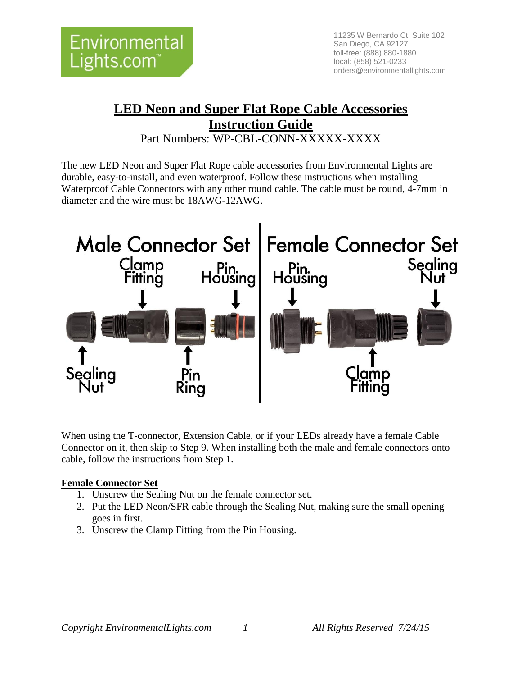11235 W Bernardo Ct, Suite 102 San Diego, CA 92127 toll-free: (888) 880-1880 local: (858) 521-0233 orders@environmentallights.com

## **LED Neon and Super Flat Rope Cable Accessories Instruction Guide** Part Numbers: WP-CBL-CONN-XXXXX-XXXX

The new LED Neon and Super Flat Rope cable accessories from Environmental Lights are durable, easy-to-install, and even waterproof. Follow these instructions when installing Waterproof Cable Connectors with any other round cable. The cable must be round, 4-7mm in diameter and the wire must be 18AWG-12AWG.



When using the T-connector, Extension Cable, or if your LEDs already have a female Cable Connector on it, then skip to Step 9. When installing both the male and female connectors onto cable, follow the instructions from Step 1.

## **Female Connector Set**

- 1. Unscrew the Sealing Nut on the female connector set.
- 2. Put the LED Neon/SFR cable through the Sealing Nut, making sure the small opening goes in first.
- 3. Unscrew the Clamp Fitting from the Pin Housing.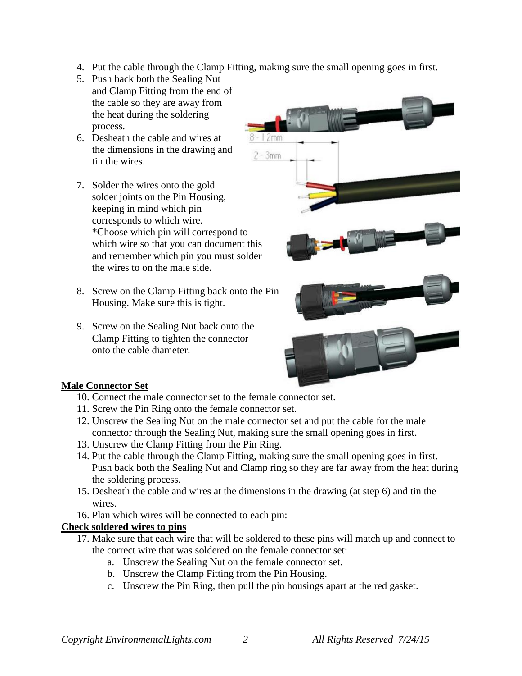- 4. Put the cable through the Clamp Fitting, making sure the small opening goes in first.
- 5. Push back both the Sealing Nut and Clamp Fitting from the end of the cable so they are away from the heat during the soldering process.
- 6. Desheath the cable and wires at the dimensions in the drawing and tin the wires.
- 7. Solder the wires onto the gold solder joints on the Pin Housing, keeping in mind which pin corresponds to which wire. \*Choose which pin will correspond to which wire so that you can document this and remember which pin you must solder the wires to on the male side.
- 8. Screw on the Clamp Fitting back onto the Pin Housing. Make sure this is tight.
- 9. Screw on the Sealing Nut back onto the Clamp Fitting to tighten the connector onto the cable diameter.



## **Male Connector Set**

- 10. Connect the male connector set to the female connector set.
- 11. Screw the Pin Ring onto the female connector set.
- 12. Unscrew the Sealing Nut on the male connector set and put the cable for the male connector through the Sealing Nut, making sure the small opening goes in first.
- 13. Unscrew the Clamp Fitting from the Pin Ring.
- 14. Put the cable through the Clamp Fitting, making sure the small opening goes in first. Push back both the Sealing Nut and Clamp ring so they are far away from the heat during the soldering process.
- 15. Desheath the cable and wires at the dimensions in the drawing (at step 6) and tin the wires.
- 16. Plan which wires will be connected to each pin:

## **Check soldered wires to pins**

- 17. Make sure that each wire that will be soldered to these pins will match up and connect to the correct wire that was soldered on the female connector set:
	- a. Unscrew the Sealing Nut on the female connector set.
	- b. Unscrew the Clamp Fitting from the Pin Housing.
	- c. Unscrew the Pin Ring, then pull the pin housings apart at the red gasket.